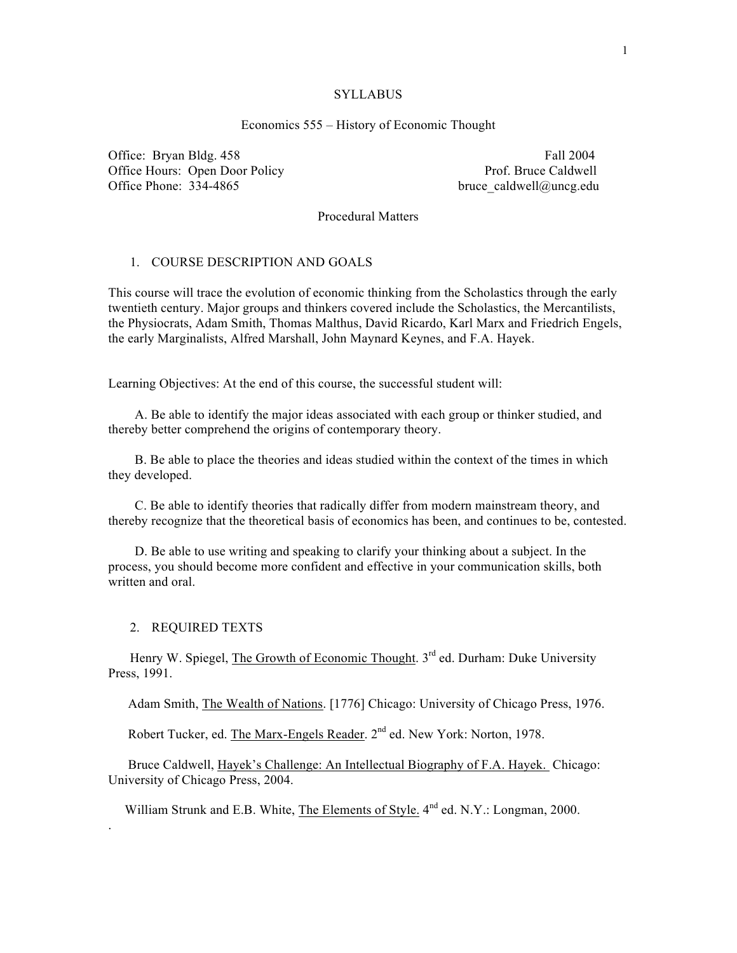#### **SYLLABUS**

# Economics 555 – History of Economic Thought

Office: Bryan Bldg. 458 Fall 2004 Office Hours: Open Door Policy Prof. Bruce Caldwell<br>Office Phone: 334-4865 bruce caldwell@uncg.edu

bruce caldwell@uncg.edu

Procedural Matters

### 1. COURSE DESCRIPTION AND GOALS

This course will trace the evolution of economic thinking from the Scholastics through the early twentieth century. Major groups and thinkers covered include the Scholastics, the Mercantilists, the Physiocrats, Adam Smith, Thomas Malthus, David Ricardo, Karl Marx and Friedrich Engels, the early Marginalists, Alfred Marshall, John Maynard Keynes, and F.A. Hayek.

Learning Objectives: At the end of this course, the successful student will:

 A. Be able to identify the major ideas associated with each group or thinker studied, and thereby better comprehend the origins of contemporary theory.

 B. Be able to place the theories and ideas studied within the context of the times in which they developed.

 C. Be able to identify theories that radically differ from modern mainstream theory, and thereby recognize that the theoretical basis of economics has been, and continues to be, contested.

 D. Be able to use writing and speaking to clarify your thinking about a subject. In the process, you should become more confident and effective in your communication skills, both written and oral.

#### 2. REQUIRED TEXTS

.

Henry W. Spiegel, The Growth of Economic Thought. 3<sup>rd</sup> ed. Durham: Duke University Press, 1991.

Adam Smith, The Wealth of Nations. [1776] Chicago: University of Chicago Press, 1976.

Robert Tucker, ed. The Marx-Engels Reader. 2<sup>nd</sup> ed. New York: Norton, 1978.

 Bruce Caldwell, Hayek's Challenge: An Intellectual Biography of F.A. Hayek. Chicago: University of Chicago Press, 2004.

William Strunk and E.B. White, The Elements of Style.  $4^{nd}$  ed. N.Y.: Longman, 2000.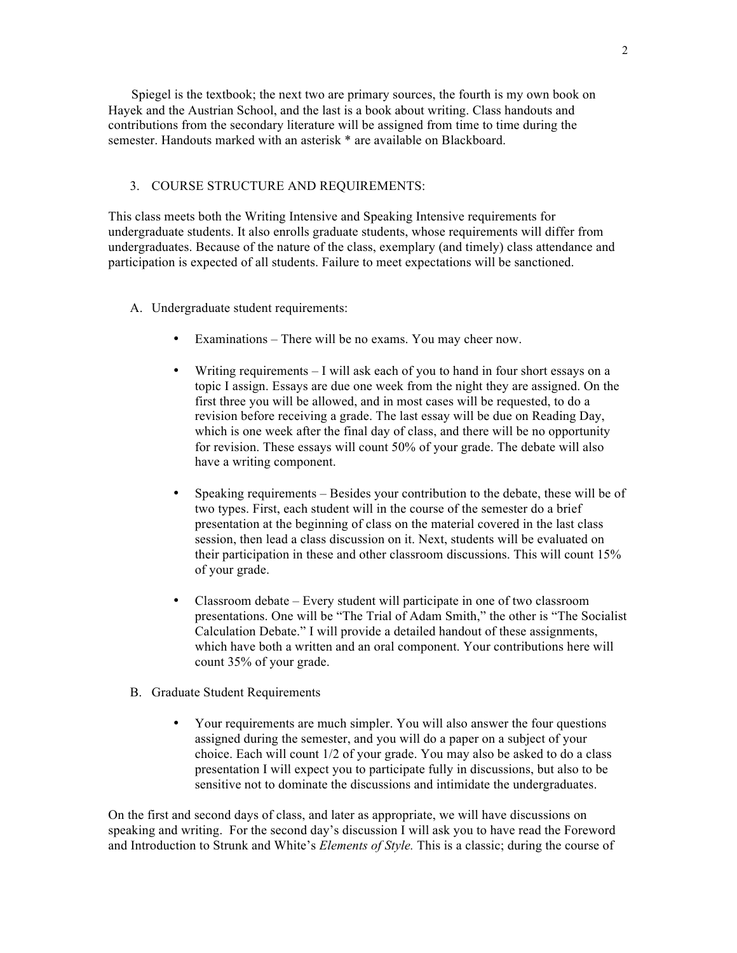Spiegel is the textbook; the next two are primary sources, the fourth is my own book on Hayek and the Austrian School, and the last is a book about writing. Class handouts and contributions from the secondary literature will be assigned from time to time during the semester. Handouts marked with an asterisk \* are available on Blackboard.

## 3. COURSE STRUCTURE AND REQUIREMENTS:

This class meets both the Writing Intensive and Speaking Intensive requirements for undergraduate students. It also enrolls graduate students, whose requirements will differ from undergraduates. Because of the nature of the class, exemplary (and timely) class attendance and participation is expected of all students. Failure to meet expectations will be sanctioned.

- A. Undergraduate student requirements:
	- Examinations There will be no exams. You may cheer now.
	- Writing requirements I will ask each of you to hand in four short essays on a topic I assign. Essays are due one week from the night they are assigned. On the first three you will be allowed, and in most cases will be requested, to do a revision before receiving a grade. The last essay will be due on Reading Day, which is one week after the final day of class, and there will be no opportunity for revision. These essays will count 50% of your grade. The debate will also have a writing component.
	- Speaking requirements Besides your contribution to the debate, these will be of two types. First, each student will in the course of the semester do a brief presentation at the beginning of class on the material covered in the last class session, then lead a class discussion on it. Next, students will be evaluated on their participation in these and other classroom discussions. This will count 15% of your grade.
	- Classroom debate Every student will participate in one of two classroom presentations. One will be "The Trial of Adam Smith," the other is "The Socialist Calculation Debate." I will provide a detailed handout of these assignments, which have both a written and an oral component. Your contributions here will count 35% of your grade.
- B. Graduate Student Requirements
	- Your requirements are much simpler. You will also answer the four questions assigned during the semester, and you will do a paper on a subject of your choice. Each will count 1/2 of your grade. You may also be asked to do a class presentation I will expect you to participate fully in discussions, but also to be sensitive not to dominate the discussions and intimidate the undergraduates.

On the first and second days of class, and later as appropriate, we will have discussions on speaking and writing. For the second day's discussion I will ask you to have read the Foreword and Introduction to Strunk and White's *Elements of Style.* This is a classic; during the course of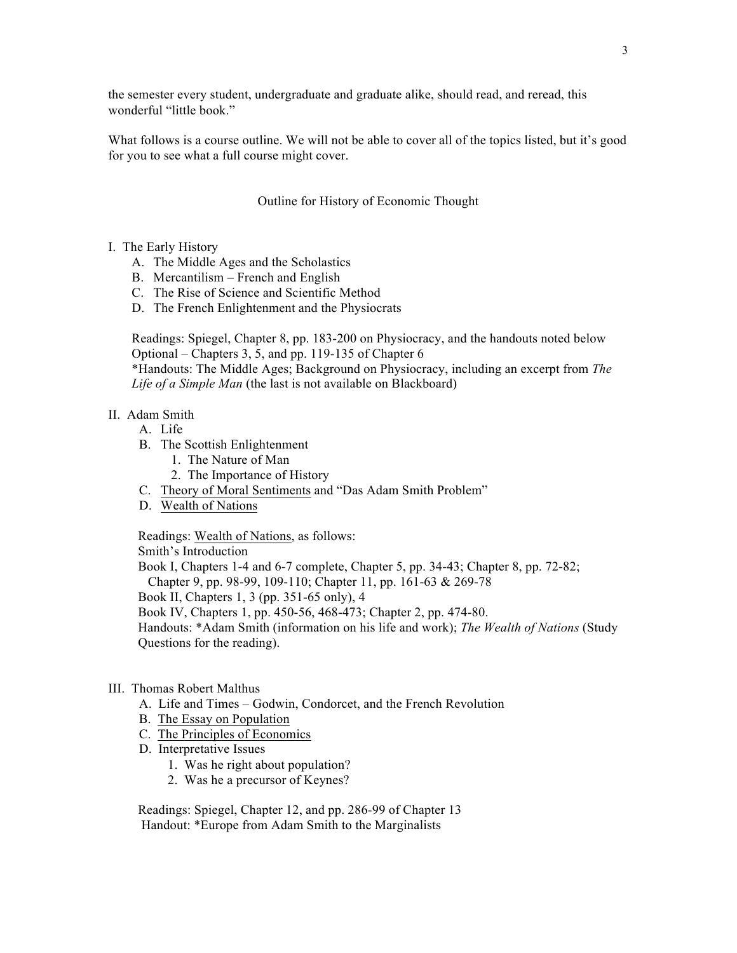the semester every student, undergraduate and graduate alike, should read, and reread, this wonderful "little book."

What follows is a course outline. We will not be able to cover all of the topics listed, but it's good for you to see what a full course might cover.

## Outline for History of Economic Thought

- I. The Early History
	- A. The Middle Ages and the Scholastics
	- B. Mercantilism French and English
	- C. The Rise of Science and Scientific Method
	- D. The French Enlightenment and the Physiocrats

Readings: Spiegel, Chapter 8, pp. 183-200 on Physiocracy, and the handouts noted below Optional – Chapters 3, 5, and pp. 119-135 of Chapter 6

\*Handouts: The Middle Ages; Background on Physiocracy, including an excerpt from *The Life of a Simple Man* (the last is not available on Blackboard)

#### II. Adam Smith

- A. Life
- B. The Scottish Enlightenment
	- 1. The Nature of Man
	- 2. The Importance of History
- C. Theory of Moral Sentiments and "Das Adam Smith Problem"
- D. Wealth of Nations

Readings: Wealth of Nations, as follows:

Smith's Introduction

 Book I, Chapters 1-4 and 6-7 complete, Chapter 5, pp. 34-43; Chapter 8, pp. 72-82; Chapter 9, pp. 98-99, 109-110; Chapter 11, pp. 161-63 & 269-78 Book II, Chapters 1, 3 (pp. 351-65 only), 4

Book IV, Chapters 1, pp. 450-56, 468-473; Chapter 2, pp. 474-80.

 Handouts: \*Adam Smith (information on his life and work); *The Wealth of Nations* (Study Questions for the reading).

# III. Thomas Robert Malthus

- A. Life and Times Godwin, Condorcet, and the French Revolution
- B. The Essay on Population
- C. The Principles of Economics
- D. Interpretative Issues
	- 1. Was he right about population?
	- 2. Was he a precursor of Keynes?

 Readings: Spiegel, Chapter 12, and pp. 286-99 of Chapter 13 Handout: \*Europe from Adam Smith to the Marginalists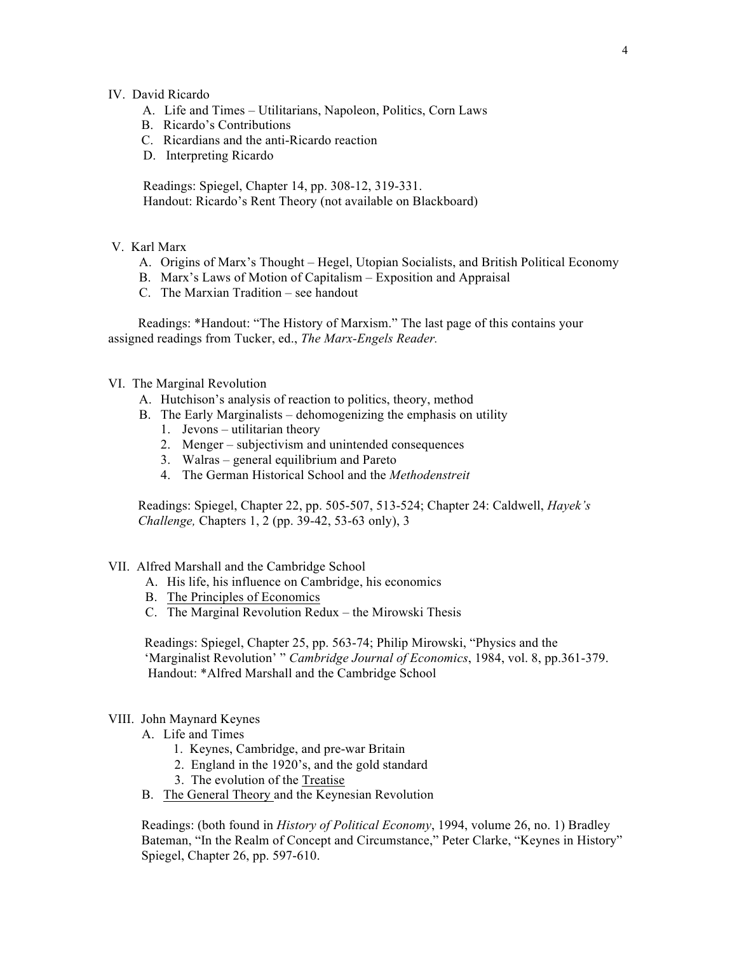### IV. David Ricardo

- A. Life and Times Utilitarians, Napoleon, Politics, Corn Laws
- B. Ricardo's Contributions
- C. Ricardians and the anti-Ricardo reaction
- D. Interpreting Ricardo

 Readings: Spiegel, Chapter 14, pp. 308-12, 319-331. Handout: Ricardo's Rent Theory (not available on Blackboard)

- V. Karl Marx
	- A. Origins of Marx's Thought Hegel, Utopian Socialists, and British Political Economy
	- B. Marx's Laws of Motion of Capitalism Exposition and Appraisal
	- C. The Marxian Tradition see handout

 Readings: \*Handout: "The History of Marxism." The last page of this contains your assigned readings from Tucker, ed., *The Marx-Engels Reader.* 

### VI. The Marginal Revolution

- A. Hutchison's analysis of reaction to politics, theory, method
- B. The Early Marginalists dehomogenizing the emphasis on utility
	- 1. Jevons utilitarian theory
	- 2. Menger subjectivism and unintended consequences
	- 3. Walras general equilibrium and Pareto
	- 4. The German Historical School and the *Methodenstreit*

 Readings: Spiegel, Chapter 22, pp. 505-507, 513-524; Chapter 24: Caldwell, *Hayek's Challenge,* Chapters 1, 2 (pp. 39-42, 53-63 only), 3

### VII. Alfred Marshall and the Cambridge School

- A. His life, his influence on Cambridge, his economics
- B. The Principles of Economics
- C. The Marginal Revolution Redux the Mirowski Thesis

 Readings: Spiegel, Chapter 25, pp. 563-74; Philip Mirowski, "Physics and the 'Marginalist Revolution' " *Cambridge Journal of Economics*, 1984, vol. 8, pp.361-379. Handout: \*Alfred Marshall and the Cambridge School

## VIII. John Maynard Keynes

- A. Life and Times
	- 1. Keynes, Cambridge, and pre-war Britain
	- 2. England in the 1920's, and the gold standard
	- 3. The evolution of the Treatise
- B. The General Theory and the Keynesian Revolution

 Readings: (both found in *History of Political Economy*, 1994, volume 26, no. 1) Bradley Bateman, "In the Realm of Concept and Circumstance," Peter Clarke, "Keynes in History" Spiegel, Chapter 26, pp. 597-610.